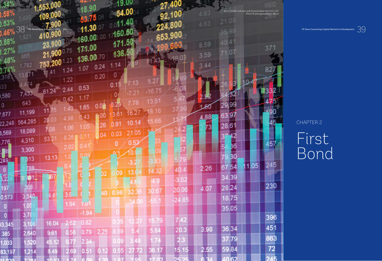|                                 |                |                                      |                |                   |               |      | 54.00 |       |       |              |                 | Stock market indicator and financial data view from LED.<br>Photo © phongphan5922 / iStock |                                                                             |  |
|---------------------------------|----------------|--------------------------------------|----------------|-------------------|---------------|------|-------|-------|-------|--------------|-----------------|--------------------------------------------------------------------------------------------|-----------------------------------------------------------------------------|--|
| <u>, 63%</u>                    |                |                                      |                |                   |               |      |       |       |       | 4.63         | 21.04           |                                                                                            |                                                                             |  |
| <b>College College College</b>  | 38             | The World Bank Treasury   IBRD . IDA |                |                   | <b>TOO OO</b> |      |       |       |       |              |                 |                                                                                            | 70 Years Connecting Capital Markets to Development $\;\mathbb{S}\mathbb{G}$ |  |
| $\mathcal{L}$ and $\mathcal{L}$ |                |                                      |                |                   |               |      |       |       |       | 8.59         |                 |                                                                                            |                                                                             |  |
| <u>, 27%</u>                    | 665            |                                      | 75             | 1722.00           | 10 TO         |      |       |       |       | 3.59         |                 | 371                                                                                        |                                                                             |  |
| j40%                            |                |                                      |                |                   |               |      |       |       |       | $\mathbb{Z}$ |                 |                                                                                            |                                                                             |  |
| 1 a 11                          |                |                                      | $\mathbb{Z}^4$ | CITY              | 0.24          | O    |       |       |       |              |                 |                                                                                            |                                                                             |  |
| 318                             |                |                                      | $\sqrt{22}$    |                   | 0.20          | 0.1  |       |       |       |              |                 |                                                                                            |                                                                             |  |
| 133                             | 7,433          |                                      |                | 0.53              |               |      |       |       |       |              |                 |                                                                                            |                                                                             |  |
| ,580                            | 643            |                                      |                | -17               |               |      |       |       |       |              | Nge             |                                                                                            |                                                                             |  |
| 0<br>.677                       | 11,199         |                                      |                | .65               |               | 3.G  | 16.27 |       |       |              | 29              |                                                                                            |                                                                             |  |
|                                 | 22,248 564,285 | 03                                   | 4.98           | 1.43              |               | 0.81 |       | 5.66  |       | 4.88         | <b>6391</b>     |                                                                                            | CHAPTER 2                                                                   |  |
| 3,569                           | 18,089         | 7.08                                 |                | 1.05              | 126           |      | 405.  |       |       |              | 28.61           |                                                                                            |                                                                             |  |
| 776.                            | 4,310          | $53.2^{\circ}$                       | 8.26           |                   | <b>04</b>     | 0.03 |       |       |       |              |                 | 457                                                                                        | First                                                                       |  |
| <b>B</b> <sub>BS</sub>          | 3,300          |                                      | 2.02           | 0.41              |               | IOI  |       |       | 57    |              |                 |                                                                                            |                                                                             |  |
| 249                             | 313            | 13.13                                |                |                   |               |      |       |       |       |              | BO              |                                                                                            | Bond                                                                        |  |
|                                 | 788            |                                      |                |                   |               |      |       | 14.32 |       | 2.26         | 54<br><b>GT</b> | 245<br> 1.05                                                                               |                                                                             |  |
|                                 |                |                                      |                |                   | D2            | 09   |       |       |       |              | 34.39           |                                                                                            |                                                                             |  |
| $\frac{1}{197}$                 |                |                                      |                |                   |               |      |       | AFI   | 20.06 | 4.07         | 28.24           | 230                                                                                        |                                                                             |  |
| 0,573                           |                |                                      |                |                   | 40.           | 0.98 | 32.36 |       |       |              | 18.75           |                                                                                            |                                                                             |  |
|                                 |                |                                      | 1.94           | 1.u1              |               |      |       |       |       |              | 35.05           |                                                                                            |                                                                             |  |
|                                 |                |                                      |                | $-1.94$           |               |      |       |       |       |              |                 | 396                                                                                        |                                                                             |  |
|                                 |                | 16.04                                |                | $2.62 \quad 0.82$ |               |      |       |       |       | 3.98         | 36.34           | 451                                                                                        |                                                                             |  |
| 385                             | 2,640          | 9.61                                 | 1.56           | 0.79              | 2.25          |      |       | 5.84  | 20.3  |              |                 | 863                                                                                        |                                                                             |  |
| ,033                            | 520            |                                      |                |                   |               |      |       |       |       |              |                 | 72                                                                                         |                                                                             |  |
|                                 |                |                                      |                |                   |               |      |       |       |       |              |                 | 83,197 1,214 8.49 2.69 0.51 0.12 0.55 27.72 36.17 15.15 2.55 59.84 72 72                   |                                                                             |  |
|                                 |                |                                      |                |                   |               |      |       |       |       |              |                 |                                                                                            |                                                                             |  |



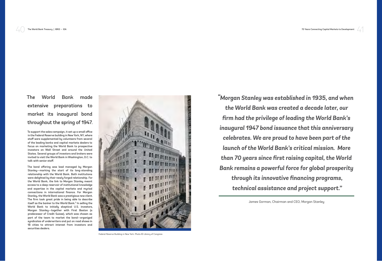41

The World Bank made extensive preparations to market its inaugural bond throughout the spring of 1947.

To support the sales campaign, it set up a small office in the Federal Reserve building in New York, NY, where staff were supplemented by volunteers from several of the leading banks and capital markets dealers to focus on marketing the World Bank to prospective investors on Wall Street and around the United States. Several groups of investors and brokers were invited to visit the World Bank in Washington, D.C. to talk with senior staff.

The bond offering was lead managed by Morgan Stanley—marking the start of its long-standing relationship with the World Bank. Both institutions were delighted by their newly forged relationship. For the World Bank, the link to Morgan Stanley meant access to a deep reservoir of institutional knowledge and expertise in the capital markets and myriad connections in international finance. For Morgan Stanley, the World Bank was a prestigious new client. The firm took great pride in being able to describe itself as the banker to the World Bank.<sup>5</sup> In selling the World Bank to initially skeptical U.S. investors, Morgan Stanley—together with First Boston (a predecessor of Credit Suisse), which was chosen as part of the team to market the bond—organized syndicates of underwriters and put on road shows in 18 cities to attract interest from investors and securities dealers.



Federal Reserve Building in New York. Photo © Library of Congress

James Gorman, Chairman and CEO, Morgan Stanley

The World Bank Treasury | IBRD • IDA 70 Years Connecting Capital Markets to Development

*"Morgan Stanley was established in 1935, and when the World Bank was created a decade later, our firm had the privilege of leading the World Bank's inaugural 1947 bond issuance that this anniversary celebrates. We are proud to have been part of the launch of the World Bank's critical mission. More than 70 years since first raising capital, the World Bank remains a powerful force for global prosperity through its innovative financing programs, technical assistance and project support."*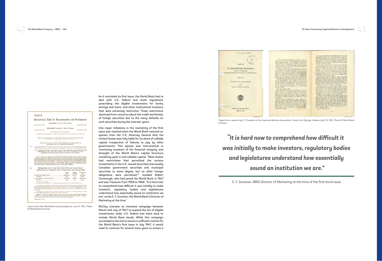**PROSPECTUS** International Bank for Reconstruction and Development \$100,000,000 Ten Year 21/4% Bonds Due July 15, 1987 Dated July 15, 1917 \$150,000,000 Twenty-Five Year 3% Bonds **Dur July 15, 1972 Dated July 15, 1917** stevent payable January 15 and July 15 .<br>Lat the Bedeen! Reserve Bank of New York in The City of New York Slating Food for Tuesty-Free Four Bonds Commencing July 15, 1956, as Described Herein<br>Under Heading Sinking Form for Teensy-Five Free Bonds THESE AECURITIES HAVE NOT BEEN APPROVED OR DISAPPROVED BY .<br>Ional Bank Jav Reconstruction and Development has registered the technities by filing certain infor<br>with the Commission. The Commission has not passed on the merits of any arcurities registered with 0 IT IS A CRIMINAL OFFINGE TO REPRESENT THAT THE COMMISSION HAS APPROVED THESE SECURITIES OR HAS EXPRESS IN THIS<br>SECURITIES OR HAS SADE ANY PRODUCT IN THE STATEMENTS IN THIS ent the Bank has full juridical personality with capacity of property and to be used. Actions may of a pair of the state of property and the state of process or that is series of process or the state of process or the sta Offering Price for Ten Year 21/4% Bonds 100% and Accrued Intere Offering Price for Twenty-Five Year 3% Bonds 100% and Accrued Interest Price to Gelling Proceeds to the Publics Contractions Bandel  $\begin{tabular}{l|c|c|c|c|c|c|c|c} \hline \multicolumn{3}{|c|}{Pulate} & \multicolumn{3}{|c|}{C} & \multicolumn{3}{|c|}{\hline} & \multicolumn{3}{|c|}{\hline} & \multicolumn{3}{|c|}{\hline} & \multicolumn{3}{|c|}{\hline} & \multicolumn{3}{|c|}{\hline} & \multicolumn{3}{|c|}{\hline} & \multicolumn{3}{|c|}{\hline} & \multicolumn{3}{|c|}{\hline} & \multicolumn{3}{|c|}{\hline} & \multicolumn{3}{|c|}{\hline} & \multic$ Ten Year 232% Bonds, Total The Bonds are not subject to any United States using the on the largest states see, are summ users manuage. Their results on the means-increases. The Poleral Reserve Bank of<br>The District of the state of the state of the market in New York Clearing House funds. Applica-<br>on has been made to list the Bo Dated July 11, 1947

One major milestone in the marketing of the first issue was reached when the World Bank received an opinion from the U.S. Attorney General that the United States was fully liable for its share of callable capital irrespective of failures to pay by other governments. This opinion was instrumental in convincing investors of the financial integrity and strength of the World Bank's capital structure, combining paid-in and callable capital. "Most states had restrictions that permitted the various investments in the U.S.-issued securities and usually Canadian government securities and municipal securities to some degree, but no other foreign obligations were permitted,"6 recalled Robert Cavanaugh, who had joined the World Bank in 1947 and was Treasurer from 1959 to 1968. "It is hard now to comprehend how difficult it was initially to make investors, regulatory bodies and legislatures understand how essentially sound an institution we are," wrote E. F. Dunstan, the World Bank's Director of Marketing at the time.<sup>7</sup>

As it marketed its first issue, the World Bank had to deal with U.S. federal and state regulations prescribing the eligible investments for banks, savings and loans, and other institutional investors that were extremely restrictive. These restrictions stemmed from concerns about the credit worthiness of foreign securities due to the many defaults on such securities during the interwar years.

McCloy oversaw an intensive campaign between March and July of 1947 to expand the list of eligible investments under U.S. federal and state laws to include World Bank bonds. While this campaign succeeded in the end to ensure a sufficient market for the World Bank's first issue in July 1947, it would need to continue for several more years to ensure a

Speech by E. FLEETWOOD DUNSTAN and Bank for Beconstruction **Annual Executive Council Sess** n Bankers Ass OLY. French Lick Springs, Indiana April 13, 1947

1.000 printed

70 Years Connecting Capital Markets to Development

43

E. F. Dunstan, IBRD Director of Marketing at the time of the first bond issue

## *"It is hard now to comprehend how difficult it was initially to make investors, regulatory bodies and legislatures understand how essentially sound an institution we are."*



Pages from a speech by E. F. Dunstan to the American Bankers Association, French Lick Springs, Indiana, April 13, 1947. Photo © World Bank

Archives

Cover of the first World Bank bond prospectus, June 11, 1947. Photo © World Bank Archives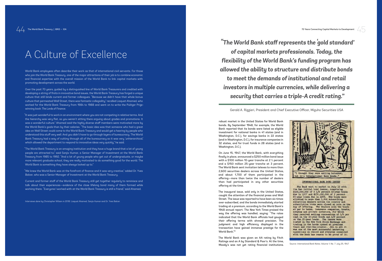robust market in the United States for World Bank bonds. By September 1948, for example, the World Bank reported that its bonds were listed as eligible investment for national banks in 41 states (and in Washington, D.C.), for savings banks in 22 states (and in Washington, D.C.), for insurance companies in 32 states, and for trust funds in 28 states (and in Washington, D.C.).

The inaugural issue, sold only in the United States, caught the attention of the financial press and Wall Street. The issue was reported to have been six times over-subscribed, and the bonds immediately started trading at a premium, according to the World Bank's 1948 annual report. The *New York Times* praised the way the offering was handled, saying: "The rates indicated that the World Bank officials had gauged their offering terms with shrewd precision. The judgment and high efficiency displayed in the transaction have gained immense prestige for the World Bank." 8 **Solutive Constitute Constitute Constitute Constitute Constitute Constitute Constitute Constitutions.** By September 1948, for example, the World Bank teported that it is bonds were listed as eligible linexistment for natio

On June 15, 1947, the World Bank, with everything finally in place, announced a \$250 million bond issue with a \$100 million 10-year tranche at 2 ¼ percent and a \$150 million 25-year tranche at 3 percent. The World Bank sent invitation telexes to more than 2,600 securities dealers across the United States, and about 1,700 of them participated in the offering—more than twice the number of dealers than had participated in any other securities offering at the time.

The World Bank was given an AA rating by Fitch Ratings and an A by Standard & Poor's. At the time, 70 Years Connecting Capital Markets to Development /

Source: *International Bank Notes*, Volume 1, No. 7. July 25, 1947

Gerald A. Rizzieri, President and Chief Executive Officer, Mizuho Securities USA

 *"The World Bank staff represents the 'gold standard' of capital markets professionals. Today, the flexibility of the World Bank's funding program has allowed the ability to structure and distribute bonds to meet the demands of institutional and retail investors in multiple currencies, while delivering a security that carries a triple-A credit rating."*



World Bank employees often describe their work as that of international civil servants. For those who join the World Bank Treasury, one of the major attractions of their job is to combine economic and financial expertise with the overall mission of the World Bank to link capital markets with promoting development across the world.

Over the past 70 years, guided by a distinguished line of World Bank Treasurers and credited with developing a string of firsts in innovative bond issues, the World Bank Treasury has forged a unique culture that still binds current and former colleagues. "Because we didn't have that whole bonus culture that permeated Wall Street, there was fantastic collegiality," recalled Liaquat Ahamed, who worked for the World Bank Treasury from 1984 to 1988 and went on to write the Pulitzer Prizewinning book *The Lords of Finance*.

"It was just wonderful to work in an environment where you are not competing in relative terms. And the hierarchy was very flat, so you weren't sitting there arguing about grades and promotions. It was a wonderful culture." Ahamed said the highly diverse staff members were motivated more by the World Bank's goals than by their salaries. "The basic idea was that someone who had a great idea on Wall Street could come to the World Bank Treasury and would get a hearing by people who understood this stuff very well. And you didn't have to go through layers of bureaucracy. The World Bank Treasury had a way of cutting through all of the bureaucracy so it was very 'unhierarchical,' which allowed the department to respond to innovative ideas very quickly," he said.

"The World Bank Treasury is an amazing institution and they have a huge brand that a lot of young people are attracted to," said Sanjiv Kumar, a Senior Manager of Investment at the World Bank Treasury from 1985 to 1992. "And a lot of young people who get out of undergraduate, or maybe more relevant graduate school, they are really motivated to do something good for the world. The World Bank is something they have always looked up to."

"We knew the World Bank was at the forefront of finance and it was very creative," added Dr. Yves Balcer, who was a Senior Manager of Investment at the World Bank Treasury.

Current and former staff of the World Bank Treasury still get together regularly to reminisce and talk about their experiences—evidence of the close lifelong bond many of them formed while working there. "Everyone I worked with at the World Bank Treasury is still a friend," said Ahamed.

Interviews done by Christopher Wilson in 2018: Liaquat Ahamed, Sanjiv Kumar and Dr. Yves Balcer.

## A Culture of Excellence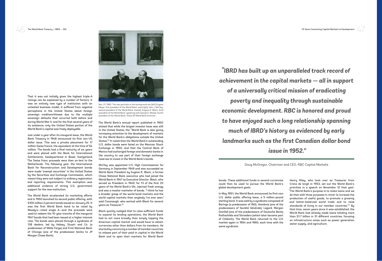

47

In May 1951, the World Bank announced its first non-U.S. dollar public offering issue, a 5 million-pound sterling bond. It was sold by a syndicate composed of Barings (a predecessor of ING), Hambros (one of the predecessors of Société Générale), Lazard, Morgan Grenfell (one of the predecessors of Deutsche Bank), Rothschilds and Shroeders (which later became part of Citibank). The World Bank returned to the U.K. market again in 1954 and 1960, each time with the same sundicate.

bonds. These additional funds in several currencies could then be used to pursue the World Bank's global development goals.

Henry Riley, who took over as Treasurer from Crena de Iongh in 1953, set out the World Bank's priorities in a speech on November 12 that year: "The World Bank's purpose is to make loans and we do that with three purposes in mind: to increase the production of useful goods, to promote a growing and better-balanced world trade and to raise standards of living in our member countries."11 By that time, seven years since it was established, the World Bank had already made loans totaling more than \$1.7 billion in 31 different countries, focusing on infrastructure areas such as power generation, water supply, and agriculture.

Doug McGregor, Chairman and CEO, RBC Capital Markets

*"IBRD has built up an unparalleled track record of achievement in the capital markets — all in support of a universally critical mission of eradicating poverty and inequality through sustainable economic development. RBC is honored and proud to have enjoyed such a long relationship spanning much of IBRD's history as evidenced by early landmarks such as the first Canadian dollar bond issue in 1952."*

That it was not initially given the highest triple-A ratings can be explained by a number of factors: it was an entirely new type of institution with an untested business model; it suffered from negative perceptions in the United States about foreign sovereign creditworthiness due to the multiple sovereign defaults that occurred both before and during World War II; and for the first several years of its existence, only the United States portion of the World Bank's capital was freely deployable.

Just under a year after its inaugural issue, the World Bank Treasury in 1948 announced its first non-US dollar issue. This was a private placement for 17 million Swiss francs, the equivalent at the time of \$4 million. The bonds had a final maturity of six years and were placed with the Bank for International Settlements, headquartered in Basel, Switzerland. The Swiss franc proceeds were then on-lent to the Netherlands. The following year, the International Bank for Reconstruction and Development bonds were made "exempt securities" in the United States by the Securities and Exchange Commission, which meant they were not subject to ordinary registration and reporting requirements. This exemption was additional evidence of strong U.S. government support for the new institution.

The World Bank accelerated its marketing efforts and in 1950 launched its second public offering, with \$100 million 2 percent bonds issued on January 25. It was the first World Bank bond to be rated by Moody's—rated single A—and the proceeds were used to redeem the 10-year tranche of the inaugural 1947 bonds that had been issued at a higher interest rate. The bonds were placed through a syndicate of 138 dealers, led by Halsey, Stuart and Co. (a predecessor of Wells Fargo) and First National Bank of Chicago (one of the predecessor banks to JP Morgan Chase Bank).

The World Bank's annual report published in 1950 stated that while the largest investor base was still in the United States, the "World Bank is also giving increasing attention to the development of markets for the World Bank's obligations outside the United States."9 It noted that the World Bank's outstanding U.S. dollar bonds were listed on the Mexican Stock Exchange in 1950, and that the Central Bank of Mexico had authorized foreign and domestic banks in the country to use part of their foreign exchange reserves to invest in the World Bank's bonds.

McCloy was appointed U.S. High Commissioner for Germany in September 1949 and was succeeded as World Bank President by Eugene R. Black, a former Chase National Bank executive who had joined the World Bank in 1947 as Executive Director. Black, who served as President in 1949, for 13 of the first 25 years of his World Bank's life, injected fresh energy and was a master marketer of bonds. "I think he has a broader grasp of the world bond markets and the world capital markets than anybody I've ever seen," said Cavanaugh, who worked with Black for several years as Treasurer.10

Black quickly realized that to raise sufficient funds to expand its lending operations, the World Bank had to act more broadly than simply tapping the American capital market and would have to obtain currencies other than dollars from its members. He started by convincing a number of member countries to release part of their paid-in capital in the World Bank and to open their markets for World Bank

Nov. 21, 1962: The two portraits in the background are (left) Eugene Meyer, first president of the World Bank, and (right) John J. McCloy, second president of the World Bank. Seated, Eugene R. Black, third president of the World Bank, speaking with George D. Woods, fourth president of the World Bank. Photo © World Bank Archives